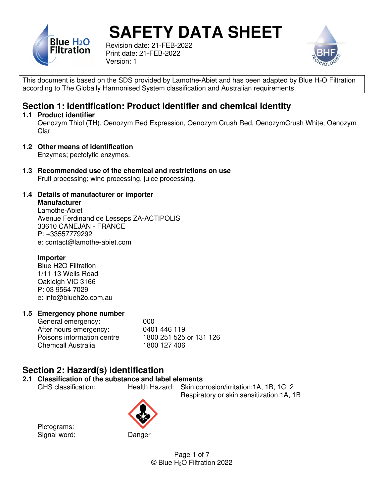

Revision date: 21-FEB-2022 Print date: 21-FEB-2022 Version: 1



This document is based on the SDS provided by Lamothe-Abiet and has been adapted by Blue H<sub>2</sub>O Filtration according to The Globally Harmonised System classification and Australian requirements.

## **Section 1: Identification: Product identifier and chemical identity**

#### **1.1 Product identifier**

Oenozym Thiol (TH), Oenozym Red Expression, Oenozym Crush Red, OenozymCrush White, Oenozym Clar

**1.2 Other means of identification** 

Enzymes; pectolytic enzymes.

**1.3 Recommended use of the chemical and restrictions on use**  Fruit processing; wine processing, juice processing.

#### **1.4 Details of manufacturer or importer**

**Manufacturer**  Lamothe-Abiet

 Avenue Ferdinand de Lesseps ZA-ACTIPOLIS 33610 CANEJAN - FRANCE P: +33557779292 e: contact@lamothe-abiet.com

#### **Importer**

 Blue H2O Filtration 1/11-13 Wells Road Oakleigh VIC 3166 P: 03 9564 7029 e: info@blueh2o.com.au

#### **1.5 Emergency phone number**

General emergency: 000<br>After hours emergency: 0401 446 119 After hours emergency: Poisons information centre 1800 251 525 or 131 126 Chemcall Australia 1800 127 406

## **Section 2: Hazard(s) identification**

## **2.1 Classification of the substance and label elements**

Health Hazard: Skin corrosion/irritation:1A, 1B, 1C, 2 Respiratory or skin sensitization:1A, 1B

 Pictograms: Signal word: Danger



Page 1 of 7 © Blue H2O Filtration 2022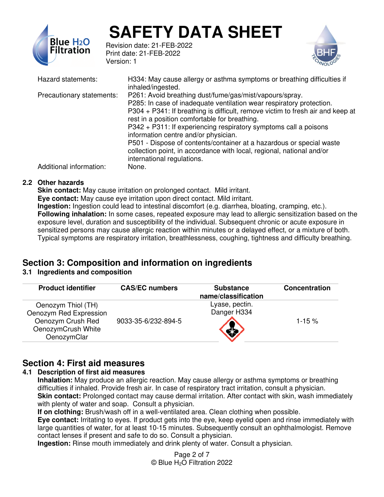

Revision date: 21-FEB-2022 Print date: 21-FEB-2022 Version: 1



| Hazard statements:        | H334: May cause allergy or asthma symptoms or breathing difficulties if<br>inhaled/ingested.                                                                                                                                                                                                                                                                                                                                                                                                                                                                  |
|---------------------------|---------------------------------------------------------------------------------------------------------------------------------------------------------------------------------------------------------------------------------------------------------------------------------------------------------------------------------------------------------------------------------------------------------------------------------------------------------------------------------------------------------------------------------------------------------------|
| Precautionary statements: | P261: Avoid breathing dust/fume/gas/mist/vapours/spray.<br>P285: In case of inadequate ventilation wear respiratory protection.<br>P304 + P341: If breathing is difficult, remove victim to fresh air and keep at<br>rest in a position comfortable for breathing.<br>P342 + P311: If experiencing respiratory symptoms call a poisons<br>information centre and/or physician.<br>P501 - Dispose of contents/container at a hazardous or special waste<br>collection point, in accordance with local, regional, national and/or<br>international regulations. |
| Additional information:   | None.                                                                                                                                                                                                                                                                                                                                                                                                                                                                                                                                                         |

#### **2.2 Other hazards**

**Skin contact:** May cause irritation on prolonged contact. Mild irritant. **Eye contact:** May cause eye irritation upon direct contact. Mild irritant. **Ingestion:** Ingestion could lead to intestinal discomfort (e.g. diarrhea, bloating, cramping, etc.). **Following inhalation:** In some cases, repeated exposure may lead to allergic sensitization based on the exposure level, duration and susceptibility of the individual. Subsequent chronic or acute exposure in sensitized persons may cause allergic reaction within minutes or a delayed effect, or a mixture of both. Typical symptoms are respiratory irritation, breathlessness, coughing, tightness and difficulty breathing.

## **Section 3: Composition and information on ingredients**

#### **3.1 Ingredients and composition**

| <b>Product identifier</b>                                                                              | <b>CAS/EC numbers</b> | <b>Substance</b><br>name/classification | Concentration |
|--------------------------------------------------------------------------------------------------------|-----------------------|-----------------------------------------|---------------|
| Oenozym Thiol (TH)<br>Oenozym Red Expression<br>Oenozym Crush Red<br>OenozymCrush White<br>OenozymClar | 9033-35-6/232-894-5   | Lyase, pectin.<br>Danger H334           | $1 - 15 \%$   |

## **Section 4: First aid measures**

#### **4.1 Description of first aid measures**

**Inhalation:** May produce an allergic reaction. May cause allergy or asthma symptoms or breathing difficulties if inhaled. Provide fresh air. In case of respiratory tract irritation, consult a physician. **Skin contact:** Prolonged contact may cause dermal irritation. After contact with skin, wash immediately with plenty of water and soap. Consult a physician.

**If on clothing:** Brush/wash off in a well-ventilated area. Clean clothing when possible.

**Eye contact:** Irritating to eyes. If product gets into the eye, keep eyelid open and rinse immediately with large quantities of water, for at least 10-15 minutes. Subsequently consult an ophthalmologist. Remove contact lenses if present and safe to do so. Consult a physician.

**Ingestion:** Rinse mouth immediately and drink plenty of water. Consult a physician.

Page 2 of 7 © Blue H2O Filtration 2022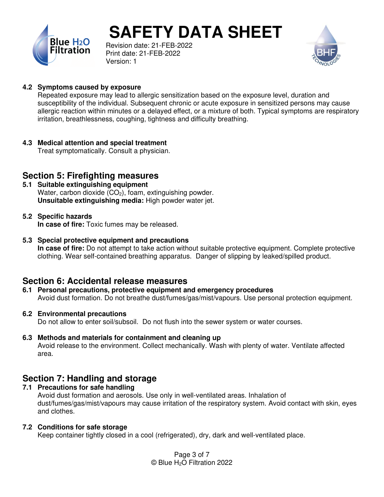

Revision date: 21-FEB-2022 Print date: 21-FEB-2022 Version: 1



#### **4.2 Symptoms caused by exposure**

Repeated exposure may lead to allergic sensitization based on the exposure level, duration and susceptibility of the individual. Subsequent chronic or acute exposure in sensitized persons may cause allergic reaction within minutes or a delayed effect, or a mixture of both. Typical symptoms are respiratory irritation, breathlessness, coughing, tightness and difficulty breathing.

**4.3 Medical attention and special treatment** 

Treat symptomatically. Consult a physician.

### **Section 5: Firefighting measures**

**5.1 Suitable extinguishing equipment**  Water, carbon dioxide  $(CO<sub>2</sub>)$ , foam, extinguishing powder. **Unsuitable extinguishing media:** High powder water jet.

#### **5.2 Specific hazards**

**In case of fire:** Toxic fumes may be released.

**5.3 Special protective equipment and precautions** 

**In case of fire:** Do not attempt to take action without suitable protective equipment. Complete protective clothing. Wear self-contained breathing apparatus. Danger of slipping by leaked/spilled product.

#### **Section 6: Accidental release measures**

**6.1 Personal precautions, protective equipment and emergency procedures**  Avoid dust formation. Do not breathe dust/fumes/gas/mist/vapours. Use personal protection equipment.

#### **6.2 Environmental precautions**

Do not allow to enter soil/subsoil. Do not flush into the sewer system or water courses.

**6.3 Methods and materials for containment and cleaning up**  Avoid release to the environment. Collect mechanically. Wash with plenty of water. Ventilate affected area.

## **Section 7: Handling and storage**

**7.1 Precautions for safe handling**  Avoid dust formation and aerosols. Use only in well-ventilated areas. Inhalation of dust/fumes/gas/mist/vapours may cause irritation of the respiratory system. Avoid contact with skin, eyes and clothes.

#### **7.2 Conditions for safe storage**

Keep container tightly closed in a cool (refrigerated), dry, dark and well-ventilated place.

Page 3 of 7 © Blue H2O Filtration 2022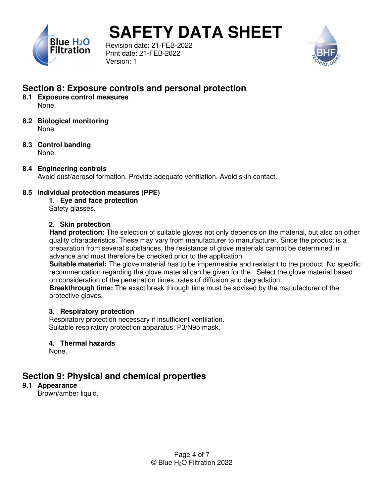

Revision date: 21-FEB-2022 Print date: 21-FEB-2022 Version: 1



## **Section 8: Exposure controls and personal protection**

- **8.1 Exposure control measures**  None.
- **8.2 Biological monitoring**  None.
- **8.3 Control banding**  None.

## **8.4 Engineering controls**

Avoid dust/aerosol formation. Provide adequate ventilation. Avoid skin contact.

#### **8.5 Individual protection measures (PPE)**

**1. Eye and face protection**  Safety glasses.

#### **2. Skin protection**

**Hand protection:** The selection of suitable gloves not only depends on the material, but also on other quality characteristics. These may vary from manufacturer to manufacturer. Since the product is a preparation from several substances, the resistance of glove materials cannot be determined in advance and must therefore be checked prior to the application.

**Suitable material:** The glove material has to be impermeable and resistant to the product. No specific recommendation regarding the glove material can be given for the. Select the glove material based on consideration of the penetration times, rates of diffusion and degradation.

**Breakthrough time:** The exact break through time must be advised by the manufacturer of the protective gloves.

#### **3. Respiratory protection**

Respiratory protection necessary if insufficient ventilation. Suitable respiratory protection apparatus: P3/N95 mask.

#### **4. Thermal hazards**

None.

## **Section 9: Physical and chemical properties**

#### **9.1 Appearance**

Brown/amber liquid.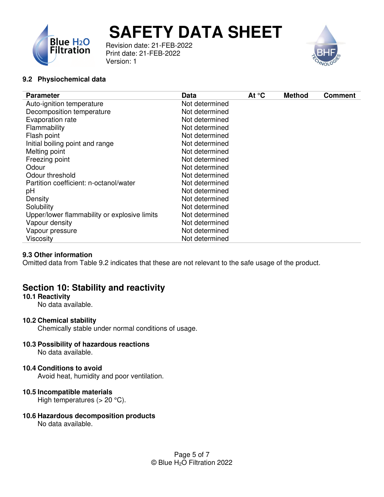



Revision date: 21-FEB-2022 Print date: 21-FEB-2022 Version: 1

#### **9.2 Physiochemical data**

#### **9.3 Other information**

Omitted data from Table 9.2 indicates that these are not relevant to the safe usage of the product.

## **Section 10: Stability and reactivity**

#### **10.1 Reactivity**

No data available.

#### **10.2 Chemical stability**

Chemically stable under normal conditions of usage.

#### **10.3 Possibility of hazardous reactions**

No data available.

#### **10.4 Conditions to avoid**

Avoid heat, humidity and poor ventilation.

#### **10.5 Incompatible materials**

High temperatures  $(> 20 °C)$ .

#### **10.6 Hazardous decomposition products**

No data available.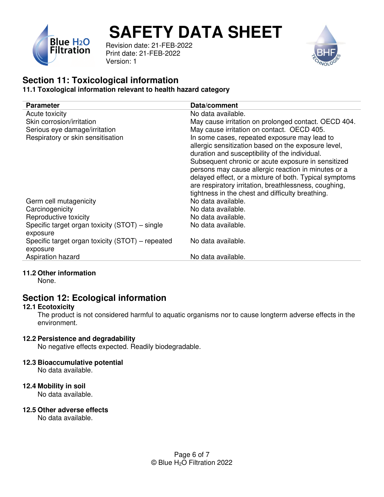

Revision date: 21-FEB-2022 Print date: 21-FEB-2022 Version: 1



#### **Section 11: Toxicological information 11.1 Toxological information relevant to health hazard category**

| <b>Parameter</b>                                             | Data/comment                                                                                                                                                                                                                                                                                                                                                                          |
|--------------------------------------------------------------|---------------------------------------------------------------------------------------------------------------------------------------------------------------------------------------------------------------------------------------------------------------------------------------------------------------------------------------------------------------------------------------|
| Acute toxicity                                               | No data available.                                                                                                                                                                                                                                                                                                                                                                    |
| Skin corrosion/irritation                                    | May cause irritation on prolonged contact. OECD 404.                                                                                                                                                                                                                                                                                                                                  |
| Serious eye damage/irritation                                | May cause irritation on contact. OECD 405.                                                                                                                                                                                                                                                                                                                                            |
| Respiratory or skin sensitisation                            | In some cases, repeated exposure may lead to<br>allergic sensitization based on the exposure level,<br>duration and susceptibility of the individual.<br>Subsequent chronic or acute exposure in sensitized<br>persons may cause allergic reaction in minutes or a<br>delayed effect, or a mixture of both. Typical symptoms<br>are respiratory irritation, breathlessness, coughing, |
| Germ cell mutagenicity                                       | tightness in the chest and difficulty breathing.<br>No data available.                                                                                                                                                                                                                                                                                                                |
| Carcinogenicity                                              | No data available.                                                                                                                                                                                                                                                                                                                                                                    |
| Reproductive toxicity                                        | No data available.                                                                                                                                                                                                                                                                                                                                                                    |
| Specific target organ toxicity (STOT) – single<br>exposure   | No data available.                                                                                                                                                                                                                                                                                                                                                                    |
| Specific target organ toxicity (STOT) – repeated<br>exposure | No data available.                                                                                                                                                                                                                                                                                                                                                                    |
| Aspiration hazard                                            | No data available.                                                                                                                                                                                                                                                                                                                                                                    |
|                                                              |                                                                                                                                                                                                                                                                                                                                                                                       |

#### **11.2 Other information**

None.

## **Section 12: Ecological information**

#### **12.1 Ecotoxicity**

The product is not considered harmful to aquatic organisms nor to cause longterm adverse effects in the environment.

#### **12.2 Persistence and degradability**

No negative effects expected. Readily biodegradable.

#### **12.3 Bioaccumulative potential**

No data available.

#### **12.4 Mobility in soil**

No data available.

#### **12.5 Other adverse effects**

No data available.